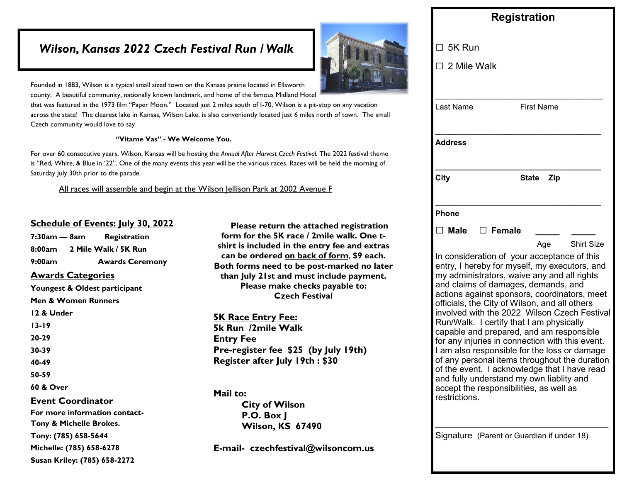### *Wilson, Kansas 2022 Czech Festival Run / Walk*



Founded in 1883, Wilson is a typical small sized town on the Kansas prairie located in Ellsworth county. A beautiful community, nationally known landmark, and home of the famous Midland Hotel

that was featured in the 1973 film "Paper Moon." Located just 2 miles south of I-70, Wilson is a pit-stop on any vacation across the state! The clearest lake in Kansas, Wilson Lake, is also conveniently located just 6 miles north of town. The small Czech community would love to say

#### **"Vitame Vas" - We Welcome You.**

For over 60 consecutive years, Wilson, Kansas will be hosting the *Annual After Harvest Czech Festival.* The 2022 festival theme is "Red, White, & Blue in '22". One of the many events this year will be the various races. Races will be held the morning of Saturday July 30th prior to the parade.

All races will assemble and begin at the Wilson Jellison Park at 2002 Avenue F

### **Schedule of Events: July 30, 2022**

**7:30am — 8am Registration 8:00am 2 Mile Walk / 5K Run 9:00am Awards Ceremony Awards Categories Youngest & Oldest participant Men & Women Runners 12 & Under 13-19 20-29 30-39 40-49 50-59 60 & Over Event Coordinator For more information contact-Tony & Michelle Brokes. Tony: (785) 658-5644 Michelle: (785) 658-6278 Susan Kriley: (785) 658-2272**

 **Please return the attached registration form for the 5K race / 2mile walk. One tshirt is included in the entry fee and extras can be ordered on back of form**, **\$9 each. Both forms need to be post-marked no later than July 21st and must include payment. Please make checks payable to: Czech Festival**

**5K Race Entry Fee: 5k Run /2mile Walk Entry Fee Pre-register fee \$25 (by July 19th) Register after July 19th : \$30**

**Mail to: City of Wilson P.O. Box J Wilson, KS 67490**

**E-mail- czechfestival@wilsoncom.us**

| $\Box$ 5K Run<br>$\Box$ 2 Mile Walk<br>Last Name<br><b>First Name</b><br><b>Address</b><br><b>City</b><br>State Zip<br><b>Phone</b><br>$\Box$ Male $\Box$ Female<br>Age<br>In consideration of your acceptance of this<br>entry, I hereby for myself, my executors, and<br>my administrators, waive any and all rights<br>and claims of damages, demands, and<br>actions against sponsors, coordinators, meet<br>officials, the City of Wilson, and all others<br>involved with the 2022 Wilson Czech Festival<br>Run/Walk. I certify that I am physically<br>capable and prepared, and am responsible<br>for any injuries in connection with this event.<br>I am also responsible for the loss or damage |                   |
|-----------------------------------------------------------------------------------------------------------------------------------------------------------------------------------------------------------------------------------------------------------------------------------------------------------------------------------------------------------------------------------------------------------------------------------------------------------------------------------------------------------------------------------------------------------------------------------------------------------------------------------------------------------------------------------------------------------|-------------------|
|                                                                                                                                                                                                                                                                                                                                                                                                                                                                                                                                                                                                                                                                                                           |                   |
|                                                                                                                                                                                                                                                                                                                                                                                                                                                                                                                                                                                                                                                                                                           |                   |
|                                                                                                                                                                                                                                                                                                                                                                                                                                                                                                                                                                                                                                                                                                           |                   |
|                                                                                                                                                                                                                                                                                                                                                                                                                                                                                                                                                                                                                                                                                                           |                   |
|                                                                                                                                                                                                                                                                                                                                                                                                                                                                                                                                                                                                                                                                                                           |                   |
|                                                                                                                                                                                                                                                                                                                                                                                                                                                                                                                                                                                                                                                                                                           |                   |
| of any personal items throughout the duration<br>of the event. I acknowledge that I have read<br>and fully understand my own liablity and<br>accept the responsibilities, as well as<br>restrictions.                                                                                                                                                                                                                                                                                                                                                                                                                                                                                                     | <b>Shirt Size</b> |

Signature (Parent or Guardian if under 18)